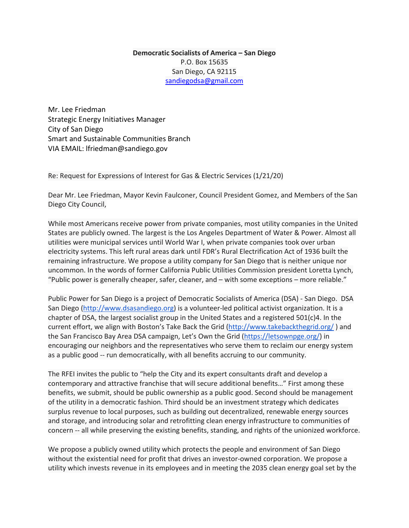**Democratic Socialists of America – San Diego** P.O. Box 15635 San Diego, CA 92115 [sandiegodsa@gmail.com](mailto:sandiegodsa@gmail.com)

Mr. Lee Friedman Strategic Energy Initiatives Manager City of San Diego Smart and Sustainable Communities Branch VIA EMAIL: lfriedman@sandiego.gov

Re: Request for Expressions of Interest for Gas & Electric Services (1/21/20)

Dear Mr. Lee Friedman, Mayor Kevin Faulconer, Council President Gomez, and Members of the San Diego City Council,

While most Americans receive power from private companies, most utility companies in the United States are publicly owned. The largest is the Los Angeles Department of Water & Power. Almost all utilities were municipal services until World War I, when private companies took over urban electricity systems. This left rural areas dark until FDR's Rural Electrification Act of 1936 built the remaining infrastructure. We propose a utility company for San Diego that is neither unique nor uncommon. In the words of former California Public Utilities Commission president Loretta Lynch, "Public power is generally cheaper, safer, cleaner, and – with some exceptions – more reliable."

Public Power for San Diego is a project of Democratic Socialists of America (DSA) - San Diego. DSA San Diego [\(http://www.dsasandiego.org\)](http://www.dsasandiego.org/) is a volunteer-led political activist organization. It is a chapter of DSA, the largest socialist group in the United States and a registered 501(c)4. In the current effort, we align with Boston's Take Back the Grid [\(http://www.takebackthegrid.org/](http://www.takebackthegrid.org/) ) and the San Francisco Bay Area DSA campaign, Let's Own the Grid [\(https://letsownpge.org/\)](https://letsownpge.org/) in encouraging our neighbors and the representatives who serve them to reclaim our energy system as a public good -- run democratically, with all benefits accruing to our community.

The RFEI invites the public to "help the City and its expert consultants draft and develop a contemporary and attractive franchise that will secure additional benefits…" First among these benefits, we submit, should be public ownership as a public good. Second should be management of the utility in a democratic fashion. Third should be an investment strategy which dedicates surplus revenue to local purposes, such as building out decentralized, renewable energy sources and storage, and introducing solar and retrofitting clean energy infrastructure to communities of concern -- all while preserving the existing benefits, standing, and rights of the unionized workforce.

We propose a publicly owned utility which protects the people and environment of San Diego without the existential need for profit that drives an investor-owned corporation. We propose a utility which invests revenue in its employees and in meeting the 2035 clean energy goal set by the